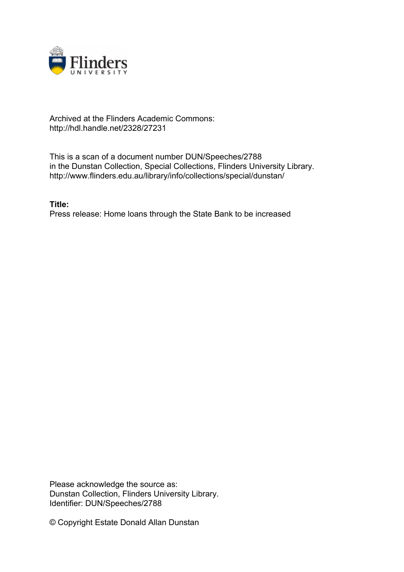

## Archived at the Flinders Academic Commons: http://hdl.handle.net/2328/27231

This is a scan of a document number DUN/Speeches/2788 in the Dunstan Collection, Special Collections, Flinders University Library. http://www.flinders.edu.au/library/info/collections/special/dunstan/

**Title:** Press release: Home loans through the State Bank to be increased

Please acknowledge the source as: Dunstan Collection, Flinders University Library. Identifier: DUN/Speeches/2788

© Copyright Estate Donald Allan Dunstan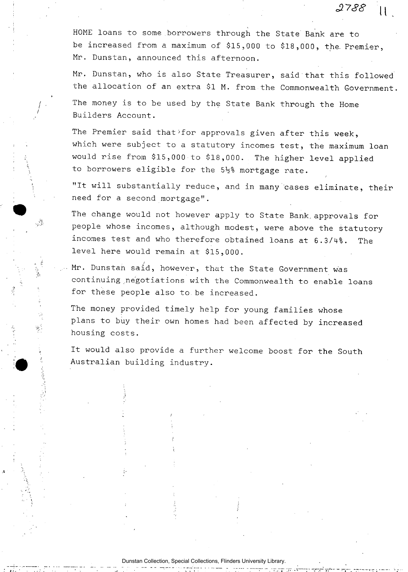HOME loans to some borrowers through the State Bank are to be increased from a maximum of \$15,000 to \$18,000, the Premier, Mr. Dunstan, announced this afternoon.

*£738* n

Mr. Dunstan, who is also State Treasurer, said'that this followed the allocation of an extra \$1 M. from the Commonwealth Government.

The money is to be used by the State Bank through the Home Builders Account.

The Premier said that for approvals given after this week, which were subject to a statutory incomes test, the maximum loan would rise from \$15,000 to \$18,000. The higher level applied to borrowers eligible for the  $5\frac{1}{2}$ % mortgage rate.

"It will substantially reduce, and in many cases eliminate, their need for a second mortgage".

The change would not however apply to State Bank, approvals for people whose incomes, although modest, were above the statutory incomes test and who therefore obtained loans at 6.3/4%. The level here would remain at \$15,000.

ري.<br>تر ل

 $\mathcal{F}_\mathrm{c}$ 

Mr. Dunstan said, however, that the State Government was continuing negotiations with the Commonwealth to enable loans for these people also to be increased.

The money provided timely help for young families whose plans to buy their own homes had been affected by increased housing costs.

It would also provide a further welcome boost for the South Australian building industry.

Dunstan Collection, Special Collections, Flinders University Library.